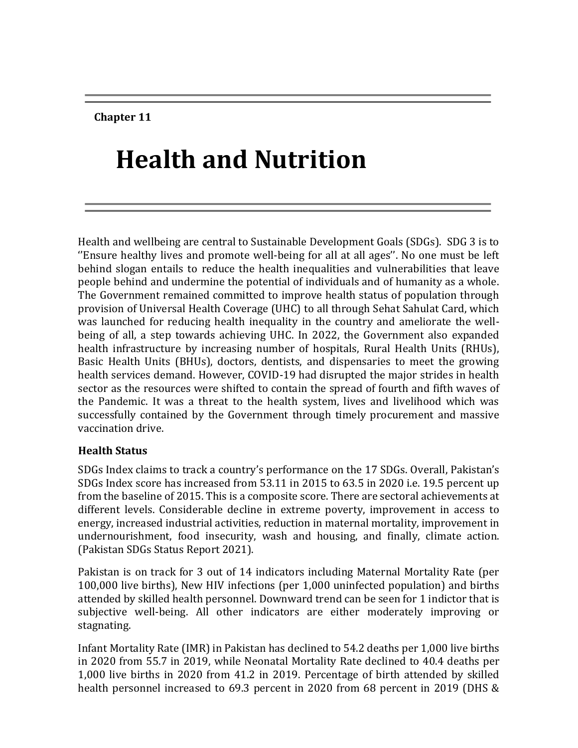**Chapter 11**

# **Health and Nutrition**

Health and wellbeing are central to Sustainable Development Goals (SDGs). SDG 3 is to ''Ensure healthy lives and promote well-being for all at all ages''. No one must be left behind slogan entails to reduce the health inequalities and vulnerabilities that leave people behind and undermine the potential of individuals and of humanity as a whole. The Government remained committed to improve health status of population through provision of Universal Health Coverage (UHC) to all through Sehat Sahulat Card, which was launched for reducing health inequality in the country and ameliorate the wellbeing of all, a step towards achieving UHC. In 2022, the Government also expanded health infrastructure by increasing number of hospitals, Rural Health Units (RHUs), Basic Health Units (BHUs), doctors, dentists, and dispensaries to meet the growing health services demand. However, COVID-19 had disrupted the major strides in health sector as the resources were shifted to contain the spread of fourth and fifth waves of the Pandemic. It was a threat to the health system, lives and livelihood which was successfully contained by the Government through timely procurement and massive vaccination drive.

#### **Health Status**

SDGs Index claims to track a country's performance on the 17 SDGs. Overall, Pakistan's SDGs Index score has increased from 53.11 in 2015 to 63.5 in 2020 i.e. 19.5 percent up from the baseline of 2015. This is a composite score. There are sectoral achievements at different levels. Considerable decline in extreme poverty, improvement in access to energy, increased industrial activities, reduction in maternal mortality, improvement in undernourishment, food insecurity, wash and housing, and finally, climate action. (Pakistan SDGs Status Report 2021).

Pakistan is on track for 3 out of 14 indicators including Maternal Mortality Rate (per 100,000 live births), New HIV infections (per 1,000 uninfected population) and births attended by skilled health personnel. Downward trend can be seen for 1 indictor that is subjective well-being. All other indicators are either moderately improving or stagnating.

Infant Mortality Rate (IMR) in Pakistan has declined to 54.2 deaths per 1,000 live births in 2020 from 55.7 in 2019, while Neonatal Mortality Rate declined to 40.4 deaths per 1,000 live births in 2020 from 41.2 in 2019. Percentage of birth attended by skilled health personnel increased to 69.3 percent in 2020 from 68 percent in 2019 (DHS &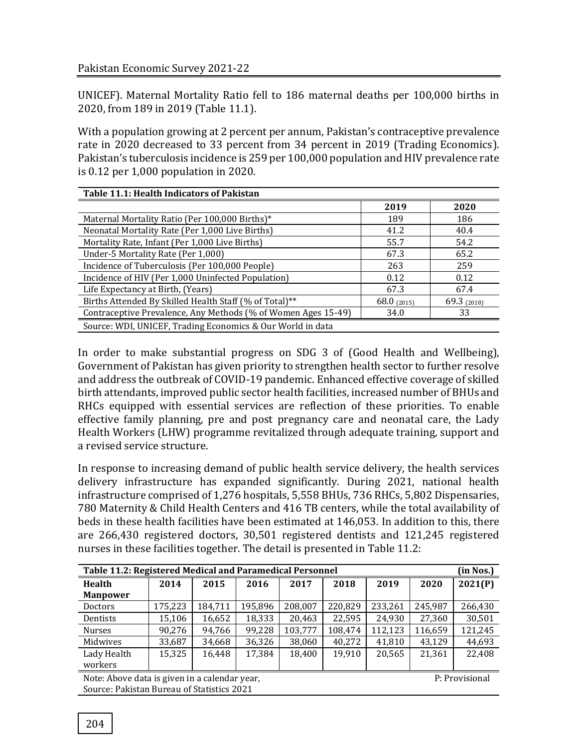UNICEF). Maternal Mortality Ratio fell to 186 maternal deaths per 100,000 births in 2020, from 189 in 2019 (Table 11.1).

With a population growing at 2 percent per annum, Pakistan's contraceptive prevalence rate in 2020 decreased to 33 percent from 34 percent in 2019 (Trading Economics). Pakistan's tuberculosis incidence is 259 per 100,000 population and HIV prevalence rate is 0.12 per 1,000 population in 2020.

| Table 11.1: Health Indicators of Pakistan                     |               |               |  |  |  |  |  |
|---------------------------------------------------------------|---------------|---------------|--|--|--|--|--|
|                                                               | 2019          | 2020          |  |  |  |  |  |
| Maternal Mortality Ratio (Per 100,000 Births)*                | 189           | 186           |  |  |  |  |  |
| Neonatal Mortality Rate (Per 1,000 Live Births)               | 41.2          | 40.4          |  |  |  |  |  |
| Mortality Rate, Infant (Per 1,000 Live Births)                | 55.7          | 54.2          |  |  |  |  |  |
| Under-5 Mortality Rate (Per 1,000)                            | 67.3          | 65.2          |  |  |  |  |  |
| Incidence of Tuberculosis (Per 100,000 People)                | 263           | 259           |  |  |  |  |  |
| Incidence of HIV (Per 1,000 Uninfected Population)            | 0.12          | 0.12          |  |  |  |  |  |
| Life Expectancy at Birth, (Years)                             | 67.3          | 67.4          |  |  |  |  |  |
| Births Attended By Skilled Health Staff (% of Total)**        | 68.0 $(2015)$ | 69.3 $(2018)$ |  |  |  |  |  |
| Contraceptive Prevalence, Any Methods (% of Women Ages 15-49) | 34.0          | 33            |  |  |  |  |  |
| Source: WDI, UNICEF, Trading Economics & Our World in data    |               |               |  |  |  |  |  |

In order to make substantial progress on SDG 3 of (Good Health and Wellbeing), Government of Pakistan has given priority to strengthen health sector to further resolve and address the outbreak of COVID-19 pandemic. Enhanced effective coverage of skilled birth attendants, improved public sector health facilities, increased number of BHUs and RHCs equipped with essential services are reflection of these priorities. To enable effective family planning, pre and post pregnancy care and neonatal care, the Lady Health Workers (LHW) programme revitalized through adequate training, support and a revised service structure.

In response to increasing demand of public health service delivery, the health services delivery infrastructure has expanded significantly. During 2021, national health infrastructure comprised of 1,276 hospitals, 5,558 BHUs, 736 RHCs, 5,802 Dispensaries, 780 Maternity & Child Health Centers and 416 TB centers, while the total availability of beds in these health facilities have been estimated at 146,053. In addition to this, there are 266,430 registered doctors, 30,501 registered dentists and 121,245 registered nurses in these facilities together. The detail is presented in Table 11.2:

| Table 11.2: Registered Medical and Paramedical Personnel        |         |         |         |         |         |         |         | (in Nos.) |
|-----------------------------------------------------------------|---------|---------|---------|---------|---------|---------|---------|-----------|
| <b>Health</b>                                                   | 2014    | 2015    | 2016    | 2017    | 2018    | 2019    | 2020    | 2021(P)   |
| <b>Manpower</b>                                                 |         |         |         |         |         |         |         |           |
| <b>Doctors</b>                                                  | 175,223 | 184,711 | 195,896 | 208,007 | 220,829 | 233,261 | 245,987 | 266,430   |
| Dentists                                                        | 15,106  | 16,652  | 18,333  | 20,463  | 22,595  | 24,930  | 27,360  | 30,501    |
| <b>Nurses</b>                                                   | 90,276  | 94,766  | 99,228  | 103,777 | 108,474 | 112,123 | 116,659 | 121,245   |
| Midwives                                                        | 33,687  | 34,668  | 36,326  | 38,060  | 40,272  | 41,810  | 43,129  | 44,693    |
| Lady Health                                                     | 15,325  | 16,448  | 17,384  | 18,400  | 19,910  | 20,565  | 21,361  | 22,408    |
| workers                                                         |         |         |         |         |         |         |         |           |
| Note: Above data is given in a calendar year,<br>P: Provisional |         |         |         |         |         |         |         |           |
| Source: Pakistan Bureau of Statistics 2021                      |         |         |         |         |         |         |         |           |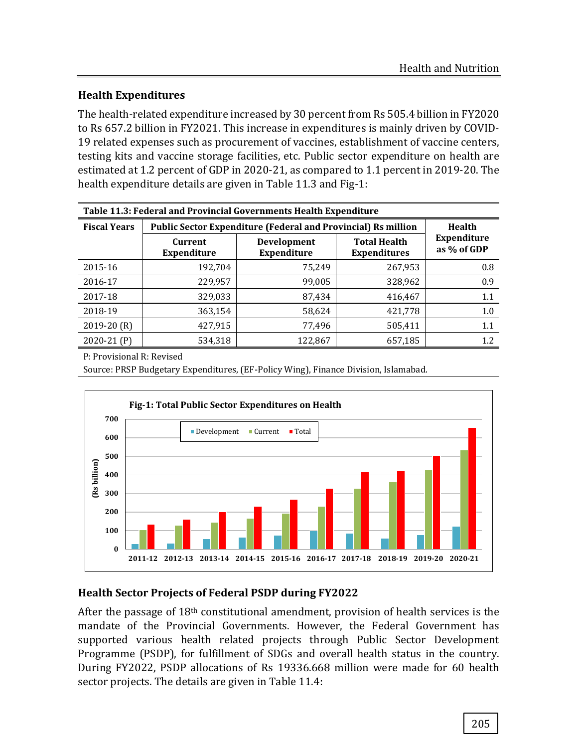# **Health Expenditures**

The health-related expenditure increased by 30 percent from Rs 505.4 billion in FY2020 to Rs 657.2 billion in FY2021. This increase in expenditures is mainly driven by COVID-19 related expenses such as procurement of vaccines, establishment of vaccine centers, testing kits and vaccine storage facilities, etc. Public sector expenditure on health are estimated at 1.2 percent of GDP in 2020-21, as compared to 1.1 percent in 2019-20. The health expenditure details are given in Table 11.3 and Fig-1:

| Table 11.3: Federal and Provincial Governments Health Expenditure |                               |                                                                      |                            |         |  |  |
|-------------------------------------------------------------------|-------------------------------|----------------------------------------------------------------------|----------------------------|---------|--|--|
| <b>Fiscal Years</b>                                               |                               | <b>Public Sector Expenditure (Federal and Provincial) Rs million</b> |                            | Health  |  |  |
|                                                                   | Current<br><b>Expenditure</b> | Development<br><b>Expenditure</b>                                    | Expenditure<br>as % of GDP |         |  |  |
| 2015-16                                                           | 192,704                       | 75,249                                                               | 267,953                    | 0.8     |  |  |
| 2016-17                                                           | 229,957                       | 99,005                                                               | 328,962                    | 0.9     |  |  |
| 2017-18                                                           | 329,033                       | 87,434                                                               | 416,467                    | 1.1     |  |  |
| 2018-19                                                           | 363,154                       | 58,624                                                               | 421,778                    | 1.0     |  |  |
| $2019-20(R)$                                                      | 427,915                       | 77,496                                                               | 505,411                    | $1.1\,$ |  |  |
| $2020-21(P)$                                                      | 534,318                       | 122,867                                                              | 657,185                    | 1.2     |  |  |

P: Provisional R: Revised

Source: PRSP Budgetary Expenditures, (EF-Policy Wing), Finance Division, Islamabad.



# **Health Sector Projects of Federal PSDP during FY2022**

After the passage of 18th constitutional amendment, provision of health services is the mandate of the Provincial Governments. However, the Federal Government has supported various health related projects through Public Sector Development Programme (PSDP), for fulfillment of SDGs and overall health status in the country. During FY2022, PSDP allocations of Rs 19336.668 million were made for 60 health sector projects. The details are given in Table 11.4: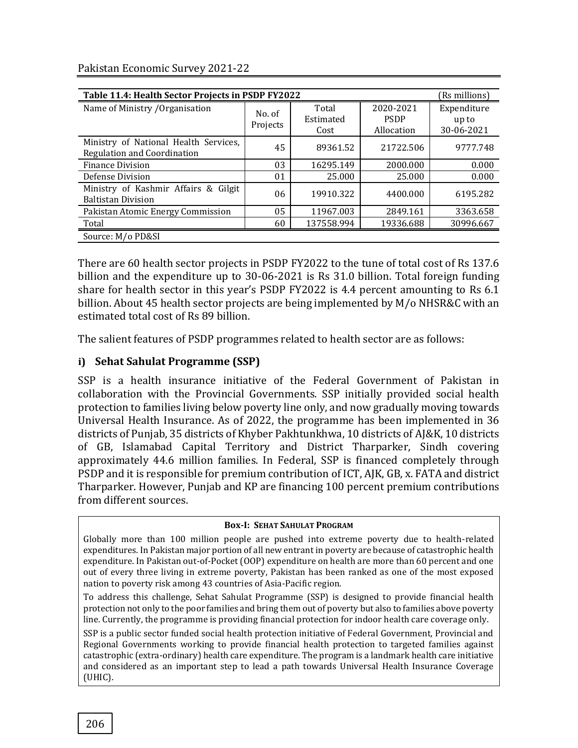| Table 11.4: Health Sector Projects in PSDP FY2022                    |          |            |             | (Rs millions) |
|----------------------------------------------------------------------|----------|------------|-------------|---------------|
| Name of Ministry / Organisation                                      | No. of   | Total      | 2020-2021   | Expenditure   |
|                                                                      |          | Estimated  | <b>PSDP</b> | up to         |
|                                                                      | Projects | Cost       | Allocation  | 30-06-2021    |
| Ministry of National Health Services,<br>Regulation and Coordination | 45       | 89361.52   | 21722.506   | 9777.748      |
| <b>Finance Division</b>                                              | 03       | 16295.149  | 2000.000    | 0.000         |
| Defense Division                                                     | 01       | 25.000     | 25.000      | 0.000         |
| Ministry of Kashmir Affairs & Gilgit<br><b>Baltistan Division</b>    | 06       | 19910.322  | 4400.000    | 6195.282      |
| Pakistan Atomic Energy Commission                                    | 05       | 11967.003  | 2849.161    | 3363.658      |
| Total                                                                | 60       | 137558.994 | 19336.688   | 30996.667     |
| Source: M/o PD&SI                                                    |          |            |             |               |

Pakistan Economic Survey 2021-22

There are 60 health sector projects in PSDP FY2022 to the tune of total cost of Rs 137.6 billion and the expenditure up to 30-06-2021 is Rs 31.0 billion. Total foreign funding share for health sector in this year's PSDP FY2022 is 4.4 percent amounting to Rs 6.1 billion. About 45 health sector projects are being implemented by M/o NHSR&C with an estimated total cost of Rs 89 billion.

The salient features of PSDP programmes related to health sector are as follows:

## **i) Sehat Sahulat Programme (SSP)**

SSP is a health insurance initiative of the Federal Government of Pakistan in collaboration with the Provincial Governments. SSP initially provided social health protection to families living below poverty line only, and now gradually moving towards Universal Health Insurance. As of 2022, the programme has been implemented in 36 districts of Punjab, 35 districts of Khyber Pakhtunkhwa, 10 districts of AJ&K, 10 districts of GB, Islamabad Capital Territory and District Tharparker, Sindh covering approximately 44.6 million families. In Federal, SSP is financed completely through PSDP and it is responsible for premium contribution of ICT, AJK, GB, x. FATA and district Tharparker. However, Punjab and KP are financing 100 percent premium contributions from different sources.

#### **Box-I: SEHAT SAHULAT PROGRAM**

Globally more than 100 million people are pushed into extreme poverty due to health-related expenditures. In Pakistan major portion of all new entrant in poverty are because of catastrophic health expenditure. In Pakistan out-of-Pocket (OOP) expenditure on health are more than 60 percent and one out of every three living in extreme poverty, Pakistan has been ranked as one of the most exposed nation to poverty risk among 43 countries of Asia-Pacific region.

To address this challenge, Sehat Sahulat Programme (SSP) is designed to provide financial health protection not only to the poor families and bring them out of poverty but also to families above poverty line. Currently, the programme is providing financial protection for indoor health care coverage only.

SSP is a public sector funded social health protection initiative of Federal Government, Provincial and Regional Governments working to provide financial health protection to targeted families against catastrophic (extra-ordinary) health care expenditure. The program is a landmark health care initiative and considered as an important step to lead a path towards Universal Health Insurance Coverage (UHIC).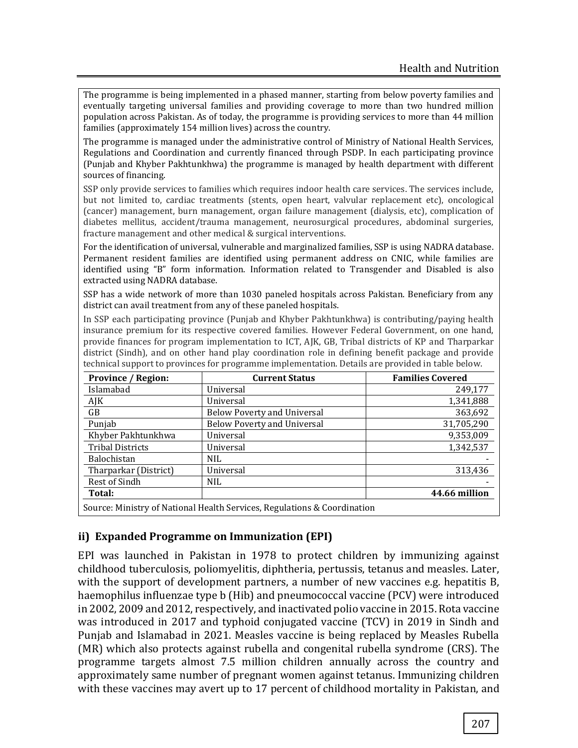The programme is being implemented in a phased manner, starting from below poverty families and eventually targeting universal families and providing coverage to more than two hundred million population across Pakistan. As of today, the programme is providing services to more than 44 million families (approximately 154 million lives) across the country.

 The programme is managed under the administrative control of Ministry of National Health Services, Regulations and Coordination and currently financed through PSDP. In each participating province (Punjab and Khyber Pakhtunkhwa) the programme is managed by health department with different sources of financing.

 SSP only provide services to families which requires indoor health care services. The services include, but not limited to, cardiac treatments (stents, open heart, valvular replacement etc), oncological (cancer) management, burn management, organ failure management (dialysis, etc), complication of diabetes mellitus, accident/trauma management, neurosurgical procedures, abdominal surgeries, fracture management and other medical & surgical interventions.

 For the identification of universal, vulnerable and marginalized families, SSP is using NADRA database. Permanent resident families are identified using permanent address on CNIC, while families are identified using "B" form information. Information related to Transgender and Disabled is also extracted using NADRA database.

 SSP has a wide network of more than 1030 paneled hospitals across Pakistan. Beneficiary from any district can avail treatment from any of these paneled hospitals.

 In SSP each participating province (Punjab and Khyber Pakhtunkhwa) is contributing/paying health insurance premium for its respective covered families. However Federal Government, on one hand, provide finances for program implementation to ICT, AJK, GB, Tribal districts of KP and Tharparkar district (Sindh), and on other hand play coordination role in defining benefit package and provide technical support to provinces for programme implementation. Details are provided in table below.

| <b>Province / Region:</b>                                                | <b>Current Status</b>              | <b>Families Covered</b> |  |  |  |
|--------------------------------------------------------------------------|------------------------------------|-------------------------|--|--|--|
| Islamabad                                                                | Universal                          | 249,177                 |  |  |  |
| AJK                                                                      | Universal                          | 1,341,888               |  |  |  |
| GB                                                                       | <b>Below Poverty and Universal</b> | 363,692                 |  |  |  |
| Punjab                                                                   | <b>Below Poverty and Universal</b> | 31,705,290              |  |  |  |
| Khyber Pakhtunkhwa                                                       | Universal                          | 9,353,009               |  |  |  |
| <b>Tribal Districts</b>                                                  | Universal                          | 1,342,537               |  |  |  |
| Balochistan                                                              | NIL.                               |                         |  |  |  |
| Tharparkar (District)                                                    | Universal                          | 313,436                 |  |  |  |
| Rest of Sindh                                                            | NIL.                               |                         |  |  |  |
| Total:                                                                   |                                    | 44.66 million           |  |  |  |
| Source: Ministry of National Health Services, Regulations & Coordination |                                    |                         |  |  |  |

# **ii) Expanded Programme on Immunization (EPI)**

EPI was launched in Pakistan in 1978 to protect children by immunizing against childhood tuberculosis, poliomyelitis, diphtheria, pertussis, tetanus and measles. Later, with the support of development partners, a number of new vaccines e.g. hepatitis B, haemophilus influenzae type b (Hib) and pneumococcal vaccine (PCV) were introduced in 2002, 2009 and 2012, respectively, and inactivated polio vaccine in 2015. Rota vaccine was introduced in 2017 and typhoid conjugated vaccine (TCV) in 2019 in Sindh and Punjab and Islamabad in 2021. Measles vaccine is being replaced by Measles Rubella (MR) which also protects against rubella and congenital rubella syndrome (CRS). The programme targets almost 7.5 million children annually across the country and approximately same number of pregnant women against tetanus. Immunizing children with these vaccines may avert up to 17 percent of childhood mortality in Pakistan, and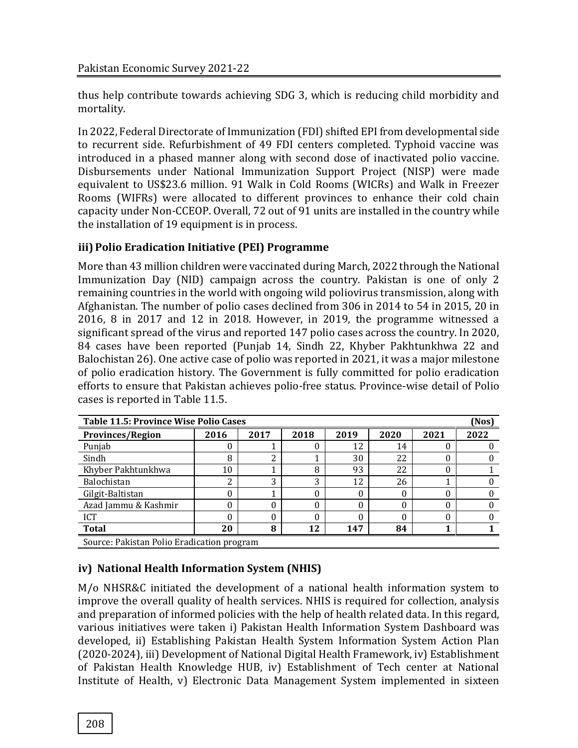thus help contribute towards achieving SDG 3, which is reducing child morbidity and mortality.

In 2022, Federal Directorate of Immunization (FDI) shifted EPI from developmental side to recurrent side. Refurbishment of 49 FDI centers completed. Typhoid vaccine was introduced in a phased manner along with second dose of inactivated polio vaccine. Disbursements under National Immunization Support Project (NISP) were made equivalent to US\$23.6 million. 91 Walk in Cold Rooms (WICRs) and Walk in Freezer Rooms (WIFRs) were allocated to different provinces to enhance their cold chain capacity under Non-CCEOP. Overall, 72 out of 91 units are installed in the country while the installation of 19 equipment is in process.

# **iii) Polio Eradication Initiative (PEI) Programme**

More than 43 million children were vaccinated during March, 2022 through the National Immunization Day (NID) campaign across the country. Pakistan is one of only 2 remaining countries in the world with ongoing wild poliovirus transmission, along with Afghanistan. The number of polio cases declined from 306 in 2014 to 54 in 2015, 20 in 2016, 8 in 2017 and 12 in 2018. However, in 2019, the programme witnessed a significant spread of the virus and reported 147 polio cases across the country. In 2020, 84 cases have been reported (Punjab 14, Sindh 22, Khyber Pakhtunkhwa 22 and Balochistan 26). One active case of polio was reported in 2021, it was a major milestone of polio eradication history. The Government is fully committed for polio eradication efforts to ensure that Pakistan achieves polio-free status. Province-wise detail of Polio cases is reported in Table 11.5.

| Table 11.5: Province Wise Polio Cases      |      |      |      |      |      |      |      |
|--------------------------------------------|------|------|------|------|------|------|------|
| <b>Provinces/Region</b>                    | 2016 | 2017 | 2018 | 2019 | 2020 | 2021 | 2022 |
| Punjab                                     |      |      |      | 12   | 14   |      |      |
| Sindh                                      | 8    | n    |      | 30   | 22   | 0    |      |
| Khyber Pakhtunkhwa                         | 10   |      | 8    | 93   | 22   | 0    |      |
| Balochistan                                | ∍    | っ    | 3    | 12   | 26   |      |      |
| Gilgit-Baltistan                           |      |      | 0    | 0    | 0    | 0    |      |
| Azad Jammu & Kashmir                       |      |      | 0    | 0    | 0    | 0    |      |
| <b>ICT</b>                                 |      |      |      | 0    | 0    | 0    |      |
| <b>Total</b>                               | 20   | 8    | 12   | 147  | 84   |      |      |
| Source: Pakistan Polio Eradication program |      |      |      |      |      |      |      |

**iv) National Health Information System (NHIS)**

M/o NHSR&C initiated the development of a national health information system to improve the overall quality of health services. NHIS is required for collection, analysis and preparation of informed policies with the help of health related data. In this regard, various initiatives were taken i) Pakistan Health Information System Dashboard was developed, ii) Establishing Pakistan Health System Information System Action Plan (2020-2024), iii) Development of National Digital Health Framework, iv) Establishment of Pakistan Health Knowledge HUB, iv) Establishment of Tech center at National Institute of Health, v) Electronic Data Management System implemented in sixteen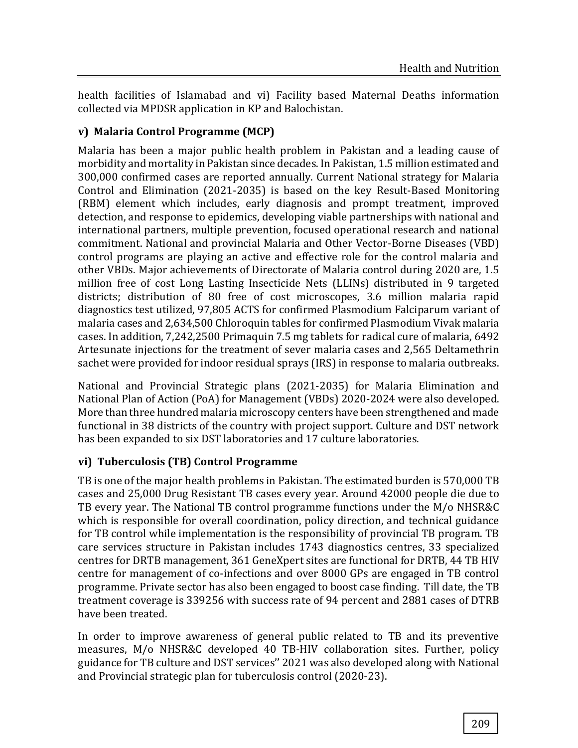health facilities of Islamabad and vi) Facility based Maternal Deaths information collected via MPDSR application in KP and Balochistan.

# **v) Malaria Control Programme (MCP)**

Malaria has been a major public health problem in Pakistan and a leading cause of morbidity and mortality in Pakistan since decades. In Pakistan, 1.5 million estimated and 300,000 confirmed cases are reported annually. Current National strategy for Malaria Control and Elimination (2021-2035) is based on the key Result-Based Monitoring (RBM) element which includes, early diagnosis and prompt treatment, improved detection, and response to epidemics, developing viable partnerships with national and international partners, multiple prevention, focused operational research and national commitment. National and provincial Malaria and Other Vector-Borne Diseases (VBD) control programs are playing an active and effective role for the control malaria and other VBDs. Major achievements of Directorate of Malaria control during 2020 are, 1.5 million free of cost Long Lasting Insecticide Nets (LLINs) distributed in 9 targeted districts; distribution of 80 free of cost microscopes, 3.6 million malaria rapid diagnostics test utilized, 97,805 ACTS for confirmed Plasmodium Falciparum variant of malaria cases and 2,634,500 Chloroquin tables for confirmed Plasmodium Vivak malaria cases. In addition, 7,242,2500 Primaquin 7.5 mg tablets for radical cure of malaria, 6492 Artesunate injections for the treatment of sever malaria cases and 2,565 Deltamethrin sachet were provided for indoor residual sprays (IRS) in response to malaria outbreaks.

National and Provincial Strategic plans (2021-2035) for Malaria Elimination and National Plan of Action (PoA) for Management (VBDs) 2020-2024 were also developed. More than three hundred malaria microscopy centers have been strengthened and made functional in 38 districts of the country with project support. Culture and DST network has been expanded to six DST laboratories and 17 culture laboratories.

# **vi) Tuberculosis (TB) Control Programme**

TB is one of the major health problems in Pakistan. The estimated burden is 570,000 TB cases and 25,000 Drug Resistant TB cases every year. Around 42000 people die due to TB every year. The National TB control programme functions under the M/o NHSR&C which is responsible for overall coordination, policy direction, and technical guidance for TB control while implementation is the responsibility of provincial TB program. TB care services structure in Pakistan includes 1743 diagnostics centres, 33 specialized centres for DRTB management, 361 GeneXpert sites are functional for DRTB, 44 TB HIV centre for management of co-infections and over 8000 GPs are engaged in TB control programme. Private sector has also been engaged to boost case finding. Till date, the TB treatment coverage is 339256 with success rate of 94 percent and 2881 cases of DTRB have been treated.

In order to improve awareness of general public related to TB and its preventive measures, M/o NHSR&C developed 40 TB-HIV collaboration sites. Further, policy guidance for TB culture and DST services'' 2021 was also developed along with National and Provincial strategic plan for tuberculosis control (2020-23).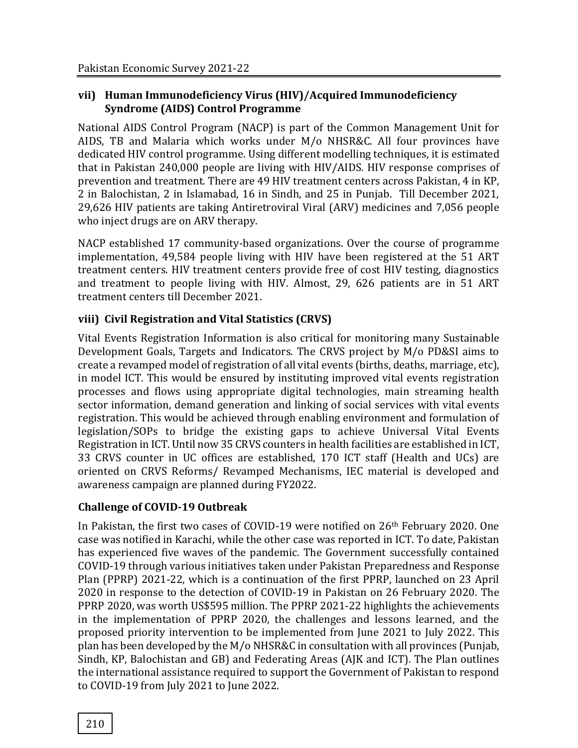## **vii) Human Immunodeficiency Virus (HIV)/Acquired Immunodeficiency Syndrome (AIDS) Control Programme**

National AIDS Control Program (NACP) is part of the Common Management Unit for AIDS, TB and Malaria which works under M/o NHSR&C. All four provinces have dedicated HIV control programme. Using different modelling techniques, it is estimated that in Pakistan 240,000 people are living with HIV/AIDS. HIV response comprises of prevention and treatment. There are 49 HIV treatment centers across Pakistan, 4 in KP, 2 in Balochistan, 2 in Islamabad, 16 in Sindh, and 25 in Punjab. Till December 2021, 29,626 HIV patients are taking Antiretroviral Viral (ARV) medicines and 7,056 people who inject drugs are on ARV therapy.

NACP established 17 community-based organizations. Over the course of programme implementation, 49,584 people living with HIV have been registered at the 51 ART treatment centers. HIV treatment centers provide free of cost HIV testing, diagnostics and treatment to people living with HIV. Almost, 29, 626 patients are in 51 ART treatment centers till December 2021.

# **viii) Civil Registration and Vital Statistics (CRVS)**

Vital Events Registration Information is also critical for monitoring many Sustainable Development Goals, Targets and Indicators. The CRVS project by M/o PD&SI aims to create a revamped model of registration of all vital events (births, deaths, marriage, etc), in model ICT. This would be ensured by instituting improved vital events registration processes and flows using appropriate digital technologies, main streaming health sector information, demand generation and linking of social services with vital events registration. This would be achieved through enabling environment and formulation of legislation/SOPs to bridge the existing gaps to achieve Universal Vital Events Registration in ICT. Until now 35 CRVS counters in health facilities are established in ICT, 33 CRVS counter in UC offices are established, 170 ICT staff (Health and UCs) are oriented on CRVS Reforms/ Revamped Mechanisms, IEC material is developed and awareness campaign are planned during FY2022.

# **Challenge of COVID-19 Outbreak**

In Pakistan, the first two cases of COVID-19 were notified on 26th February 2020. One case was notified in Karachi, while the other case was reported in ICT. To date, Pakistan has experienced five waves of the pandemic. The Government successfully contained COVID-19 through various initiatives taken under Pakistan Preparedness and Response Plan (PPRP) 2021-22, which is a continuation of the first PPRP, launched on 23 April 2020 in response to the detection of COVID-19 in Pakistan on 26 February 2020. The PPRP 2020, was worth US\$595 million. The PPRP 2021-22 highlights the achievements in the implementation of PPRP 2020, the challenges and lessons learned, and the proposed priority intervention to be implemented from June 2021 to July 2022. This plan has been developed by the M/o NHSR&C in consultation with all provinces (Punjab, Sindh, KP, Balochistan and GB) and Federating Areas (AJK and ICT). The Plan outlines the international assistance required to support the Government of Pakistan to respond to COVID-19 from July 2021 to June 2022.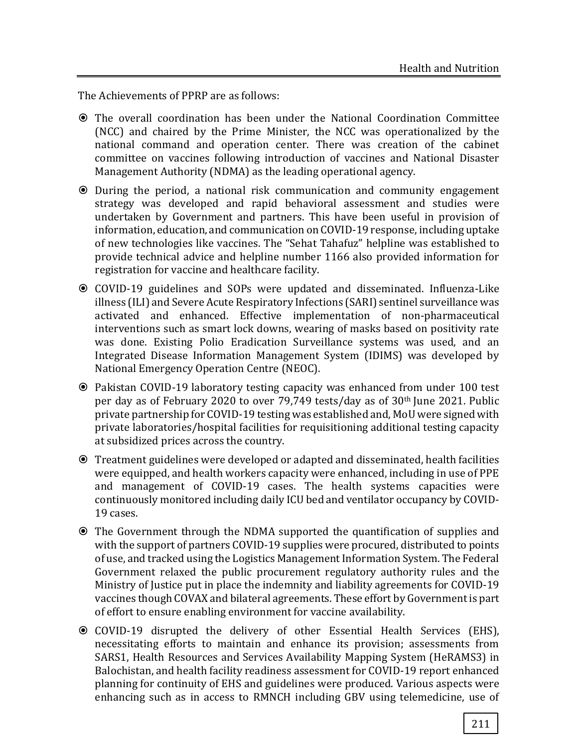The Achievements of PPRP are as follows:

- The overall coordination has been under the National Coordination Committee (NCC) and chaired by the Prime Minister, the NCC was operationalized by the national command and operation center. There was creation of the cabinet committee on vaccines following introduction of vaccines and National Disaster Management Authority (NDMA) as the leading operational agency.
- During the period, a national risk communication and community engagement strategy was developed and rapid behavioral assessment and studies were undertaken by Government and partners. This have been useful in provision of information, education, and communication on COVID-19 response, including uptake of new technologies like vaccines. The "Sehat Tahafuz" helpline was established to provide technical advice and helpline number 1166 also provided information for registration for vaccine and healthcare facility.
- COVID-19 guidelines and SOPs were updated and disseminated. Influenza-Like illness (ILI) and Severe Acute Respiratory Infections (SARI) sentinel surveillance was activated and enhanced. Effective implementation of non-pharmaceutical interventions such as smart lock downs, wearing of masks based on positivity rate was done. Existing Polio Eradication Surveillance systems was used, and an Integrated Disease Information Management System (IDIMS) was developed by National Emergency Operation Centre (NEOC).
- Pakistan COVID-19 laboratory testing capacity was enhanced from under 100 test per day as of February 2020 to over 79,749 tests/day as of 30th June 2021. Public private partnership for COVID-19 testing was established and, MoU were signed with private laboratories/hospital facilities for requisitioning additional testing capacity at subsidized prices across the country.
- Treatment guidelines were developed or adapted and disseminated, health facilities were equipped, and health workers capacity were enhanced, including in use of PPE and management of COVID-19 cases. The health systems capacities were continuously monitored including daily ICU bed and ventilator occupancy by COVID-19 cases.
- The Government through the NDMA supported the quantification of supplies and with the support of partners COVID-19 supplies were procured, distributed to points of use, and tracked using the Logistics Management Information System. The Federal Government relaxed the public procurement regulatory authority rules and the Ministry of Justice put in place the indemnity and liability agreements for COVID-19 vaccines though COVAX and bilateral agreements. These effort by Government is part of effort to ensure enabling environment for vaccine availability.
- COVID-19 disrupted the delivery of other Essential Health Services (EHS), necessitating efforts to maintain and enhance its provision; assessments from SARS1, Health Resources and Services Availability Mapping System (HeRAMS3) in Balochistan, and health facility readiness assessment for COVID-19 report enhanced planning for continuity of EHS and guidelines were produced. Various aspects were enhancing such as in access to RMNCH including GBV using telemedicine, use of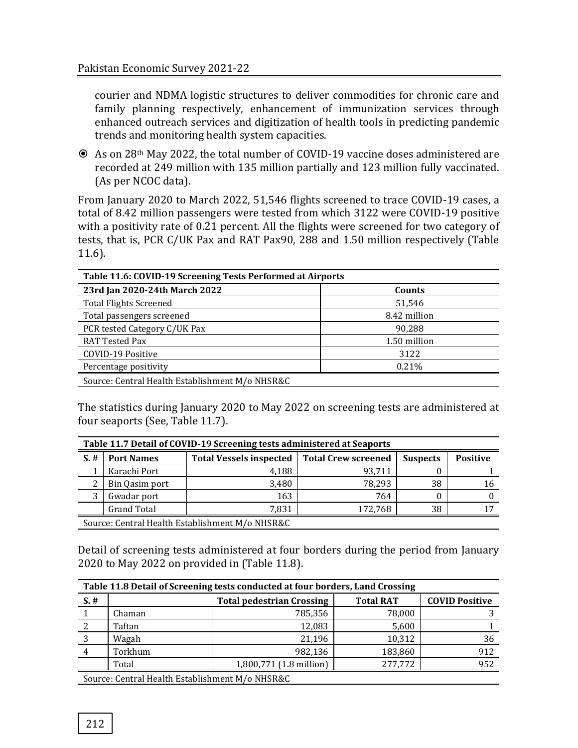courier and NDMA logistic structures to deliver commodities for chronic care and family planning respectively, enhancement of immunization services through enhanced outreach services and digitization of health tools in predicting pandemic trends and monitoring health system capacities.

 As on 28th May 2022, the total number of COVID-19 vaccine doses administered are recorded at 249 million with 135 million partially and 123 million fully vaccinated. (As per NCOC data).

From January 2020 to March 2022, 51,546 flights screened to trace COVID-19 cases, a total of 8.42 million passengers were tested from which 3122 were COVID-19 positive with a positivity rate of 0.21 percent. All the flights were screened for two category of tests, that is, PCR C/UK Pax and RAT Pax90, 288 and 1.50 million respectively (Table 11.6).

| Table 11.6: COVID-19 Screening Tests Performed at Airports |              |  |  |  |  |
|------------------------------------------------------------|--------------|--|--|--|--|
| 23rd Jan 2020-24th March 2022                              | Counts       |  |  |  |  |
| <b>Total Flights Screened</b>                              | 51,546       |  |  |  |  |
| Total passengers screened                                  | 8.42 million |  |  |  |  |
| PCR tested Category C/UK Pax                               | 90,288       |  |  |  |  |
| <b>RAT Tested Pax</b>                                      | 1.50 million |  |  |  |  |
| COVID-19 Positive                                          | 3122         |  |  |  |  |
| Percentage positivity                                      | 0.21%        |  |  |  |  |
| Source: Central Health Establishment M/o NHSR&C            |              |  |  |  |  |

The statistics during January 2020 to May 2022 on screening tests are administered at four seaports (See, Table 11.7).

| Table 11.7 Detail of COVID-19 Screening tests administered at Seaports |                   |                                                 |         |                 |                 |  |  |
|------------------------------------------------------------------------|-------------------|-------------------------------------------------|---------|-----------------|-----------------|--|--|
| $S.$ #                                                                 | <b>Port Names</b> | Total Vessels inspected   Total Crew screened   |         | <b>Suspects</b> | <b>Positive</b> |  |  |
|                                                                        | Karachi Port      | 4.188                                           | 93.711  | U               |                 |  |  |
| ົາ                                                                     | Bin Qasim port    | 3,480                                           | 78.293  | 38              | 16              |  |  |
|                                                                        | Gwadar port       | 163                                             | 764     | 0               |                 |  |  |
|                                                                        | Grand Total       | 7,831                                           | 172,768 | 38              |                 |  |  |
|                                                                        |                   | Course: Control Hoolth Establishment M/o NHCD0C |         |                 |                 |  |  |

Source: Central Health Establishment M/o NHSR&C

Detail of screening tests administered at four borders during the period from January 2020 to May 2022 on provided in (Table 11.8).

| Table 11.8 Detail of Screening tests conducted at four borders, Land Crossing |                                                 |                                  |                  |                       |  |  |  |
|-------------------------------------------------------------------------------|-------------------------------------------------|----------------------------------|------------------|-----------------------|--|--|--|
| $S.$ #                                                                        |                                                 | <b>Total pedestrian Crossing</b> | <b>Total RAT</b> | <b>COVID Positive</b> |  |  |  |
|                                                                               | Chaman                                          | 785,356                          | 78,000           |                       |  |  |  |
|                                                                               | Taftan                                          | 12,083                           | 5,600            |                       |  |  |  |
| 3                                                                             | Wagah                                           | 21,196                           | 10,312           | 36                    |  |  |  |
| 4                                                                             | Torkhum                                         | 982,136                          | 183,860          | 912                   |  |  |  |
|                                                                               | Total                                           | 1,800,771 (1.8 million)          | 277,772          | 952                   |  |  |  |
|                                                                               | Source: Central Health Establishment M/o NHSR&C |                                  |                  |                       |  |  |  |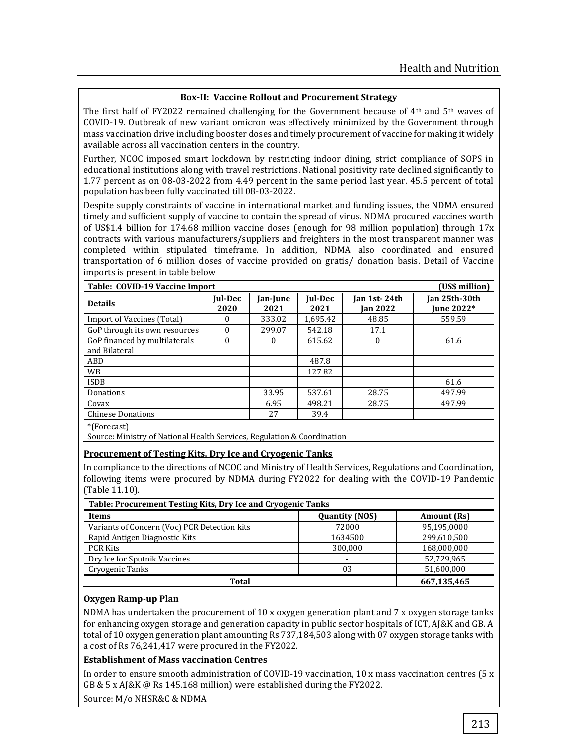#### **Box-II: Vaccine Rollout and Procurement Strategy**

The first half of FY2022 remained challenging for the Government because of 4<sup>th</sup> and 5<sup>th</sup> waves of COVID-19. Outbreak of new variant omicron was effectively minimized by the Government through mass vaccination drive including booster doses and timely procurement of vaccine for making it widely available across all vaccination centers in the country.

Further, NCOC imposed smart lockdown by restricting indoor dining, strict compliance of SOPS in educational institutions along with travel restrictions. National positivity rate declined significantly to 1.77 percent as on 08-03-2022 from 4.49 percent in the same period last year. 45.5 percent of total population has been fully vaccinated till 08-03-2022.

Despite supply constraints of vaccine in international market and funding issues, the NDMA ensured timely and sufficient supply of vaccine to contain the spread of virus. NDMA procured vaccines worth of US\$1.4 billion for 174.68 million vaccine doses (enough for 98 million population) through 17x contracts with various manufacturers/suppliers and freighters in the most transparent manner was completed within stipulated timeframe. In addition, NDMA also coordinated and ensured transportation of 6 million doses of vaccine provided on gratis/ donation basis. Detail of Vaccine imports is present in table below

| Table: COVID-19 Vaccine Import<br>(US\$ million) |                 |                  |                 |                          |                             |  |  |
|--------------------------------------------------|-----------------|------------------|-----------------|--------------------------|-----------------------------|--|--|
| <b>Details</b>                                   | Jul-Dec<br>2020 | Jan-June<br>2021 | Jul-Dec<br>2021 | Jan 1st-24th<br>Jan 2022 | Jan 25th-30th<br>June 2022* |  |  |
| Import of Vaccines (Total)                       | $\Omega$        | 333.02           | 1.695.42        | 48.85                    | 559.59                      |  |  |
| GoP through its own resources                    | $\Omega$        | 299.07           | 542.18          | 17.1                     |                             |  |  |
| GoP financed by multilaterals<br>and Bilateral   | $\theta$        | 0                | 615.62          | 0                        | 61.6                        |  |  |
| ABD                                              |                 |                  | 487.8           |                          |                             |  |  |
| <b>WB</b>                                        |                 |                  | 127.82          |                          |                             |  |  |
| <b>ISDB</b>                                      |                 |                  |                 |                          | 61.6                        |  |  |
| Donations                                        |                 | 33.95            | 537.61          | 28.75                    | 497.99                      |  |  |
| Covax                                            |                 | 6.95             | 498.21          | 28.75                    | 497.99                      |  |  |
| <b>Chinese Donations</b>                         |                 | 27               | 39.4            |                          |                             |  |  |
| $*$ $(Forocart)$                                 |                 |                  |                 |                          |                             |  |  |

\*(Forecast)

Source: Ministry of National Health Services, Regulation & Coordination

#### **Procurement of Testing Kits, Dry Ice and Cryogenic Tanks**

In compliance to the directions of NCOC and Ministry of Health Services, Regulations and Coordination, following items were procured by NDMA during FY2022 for dealing with the COVID-19 Pandemic (Table 11.10).

| Table: Procurement Testing Kits, Dry Ice and Cryogenic Tanks |                       |             |  |  |  |
|--------------------------------------------------------------|-----------------------|-------------|--|--|--|
| Items                                                        | <b>Quantity (NOS)</b> | Amount (Rs) |  |  |  |
| Variants of Concern (Voc) PCR Detection kits                 | 72000                 | 95,195,0000 |  |  |  |
| Rapid Antigen Diagnostic Kits                                | 1634500               | 299,610,500 |  |  |  |
| <b>PCR Kits</b>                                              | 300,000               | 168,000,000 |  |  |  |
| Dry Ice for Sputnik Vaccines                                 | -                     | 52,729,965  |  |  |  |
| Cryogenic Tanks                                              | 03                    | 51,600,000  |  |  |  |
| Total                                                        | 667,135,465           |             |  |  |  |

#### **Oxygen Ramp-up Plan**

NDMA has undertaken the procurement of  $10 \times$  oxygen generation plant and  $7 \times$  oxygen storage tanks for enhancing oxygen storage and generation capacity in public sector hospitals of ICT, AJ&K and GB. A total of 10 oxygen generation plant amounting Rs 737,184,503 along with 07 oxygen storage tanks with a cost of Rs 76,241,417 were procured in the FY2022.

#### **Establishment of Mass vaccination Centres**

In order to ensure smooth administration of COVID-19 vaccination, 10 x mass vaccination centres (5 x GB & 5 x AJ&K @ Rs 145.168 million) were established during the FY2022.

Source: M/o NHSR&C & NDMA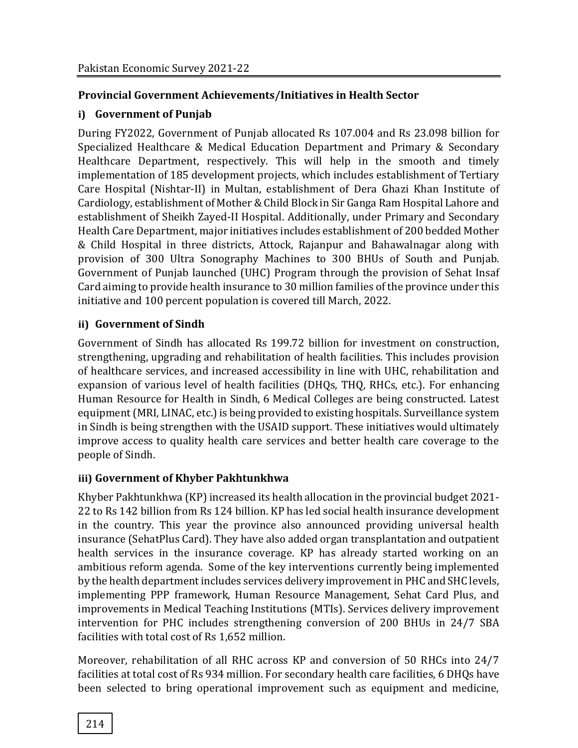## **Provincial Government Achievements/Initiatives in Health Sector**

## **i) Government of Punjab**

During FY2022, Government of Punjab allocated Rs 107.004 and Rs 23.098 billion for Specialized Healthcare & Medical Education Department and Primary & Secondary Healthcare Department, respectively. This will help in the smooth and timely implementation of 185 development projects, which includes establishment of Tertiary Care Hospital (Nishtar-II) in Multan, establishment of Dera Ghazi Khan Institute of Cardiology, establishment of Mother & Child Block in Sir Ganga Ram Hospital Lahore and establishment of Sheikh Zayed-II Hospital. Additionally, under Primary and Secondary Health Care Department, major initiatives includes establishment of 200 bedded Mother & Child Hospital in three districts, Attock, Rajanpur and Bahawalnagar along with provision of 300 Ultra Sonography Machines to 300 BHUs of South and Punjab. Government of Punjab launched (UHC) Program through the provision of Sehat Insaf Card aiming to provide health insurance to 30 million families of the province under this initiative and 100 percent population is covered till March, 2022.

## **ii) Government of Sindh**

Government of Sindh has allocated Rs 199.72 billion for investment on construction, strengthening, upgrading and rehabilitation of health facilities. This includes provision of healthcare services, and increased accessibility in line with UHC, rehabilitation and expansion of various level of health facilities (DHQs, THQ, RHCs, etc.). For enhancing Human Resource for Health in Sindh, 6 Medical Colleges are being constructed. Latest equipment (MRI, LINAC, etc.) is being provided to existing hospitals. Surveillance system in Sindh is being strengthen with the USAID support. These initiatives would ultimately improve access to quality health care services and better health care coverage to the people of Sindh.

# **iii) Government of Khyber Pakhtunkhwa**

Khyber Pakhtunkhwa (KP) increased its health allocation in the provincial budget 2021-22 to Rs 142 billion from Rs 124 billion. KP has led social health insurance development in the country. This year the province also announced providing universal health insurance (SehatPlus Card). They have also added organ transplantation and outpatient health services in the insurance coverage. KP has already started working on an ambitious reform agenda. Some of the key interventions currently being implemented by the health department includes services delivery improvement in PHC and SHC levels, implementing PPP framework, Human Resource Management, Sehat Card Plus, and improvements in Medical Teaching Institutions (MTIs). Services delivery improvement intervention for PHC includes strengthening conversion of 200 BHUs in 24/7 SBA facilities with total cost of Rs 1,652 million.

Moreover, rehabilitation of all RHC across KP and conversion of 50 RHCs into 24/7 facilities at total cost of Rs 934 million. For secondary health care facilities, 6 DHQs have been selected to bring operational improvement such as equipment and medicine,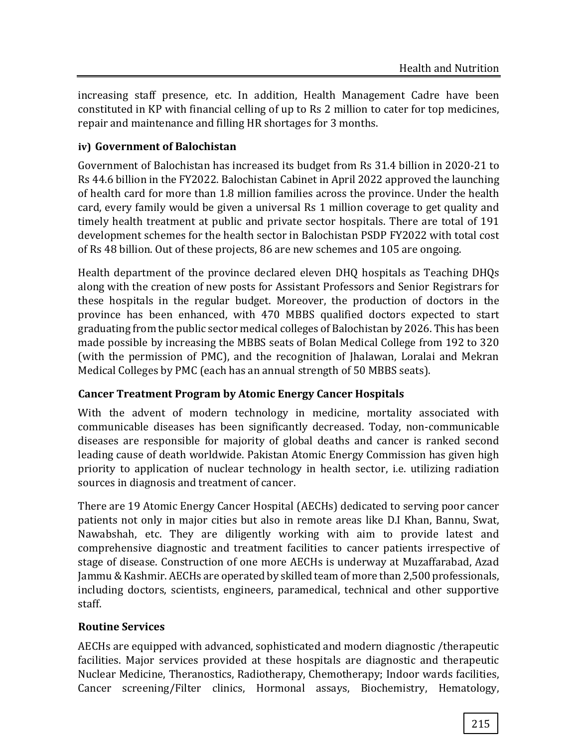increasing staff presence, etc. In addition, Health Management Cadre have been constituted in KP with financial celling of up to Rs 2 million to cater for top medicines, repair and maintenance and filling HR shortages for 3 months.

# **iv) Government of Balochistan**

Government of Balochistan has increased its budget from Rs 31.4 billion in 2020-21 to Rs 44.6 billion in the FY2022. Balochistan Cabinet in April 2022 approved the launching of health card for more than 1.8 million families across the province. Under the health card, every family would be given a universal Rs 1 million coverage to get quality and timely health treatment at public and private sector hospitals. There are total of 191 development schemes for the health sector in Balochistan PSDP FY2022 with total cost of Rs 48 billion. Out of these projects, 86 are new schemes and 105 are ongoing.

Health department of the province declared eleven DHQ hospitals as Teaching DHQs along with the creation of new posts for Assistant Professors and Senior Registrars for these hospitals in the regular budget. Moreover, the production of doctors in the province has been enhanced, with 470 MBBS qualified doctors expected to start graduating from the public sector medical colleges of Balochistan by 2026. This has been made possible by increasing the MBBS seats of Bolan Medical College from 192 to 320 (with the permission of PMC), and the recognition of Jhalawan, Loralai and Mekran Medical Colleges by PMC (each has an annual strength of 50 MBBS seats).

# **Cancer Treatment Program by Atomic Energy Cancer Hospitals**

With the advent of modern technology in medicine, mortality associated with communicable diseases has been significantly decreased. Today, non-communicable diseases are responsible for majority of global deaths and cancer is ranked second leading cause of death worldwide. Pakistan Atomic Energy Commission has given high priority to application of nuclear technology in health sector, i.e. utilizing radiation sources in diagnosis and treatment of cancer.

There are 19 Atomic Energy Cancer Hospital (AECHs) dedicated to serving poor cancer patients not only in major cities but also in remote areas like D.I Khan, Bannu, Swat, Nawabshah, etc. They are diligently working with aim to provide latest and comprehensive diagnostic and treatment facilities to cancer patients irrespective of stage of disease. Construction of one more AECHs is underway at Muzaffarabad, Azad Jammu&Kashmir. AECHs are operated by skilled team of more than 2,500 professionals, including doctors, scientists, engineers, paramedical, technical and other supportive staff.

# **Routine Services**

AECHs are equipped with advanced, sophisticated and modern diagnostic /therapeutic facilities. Major services provided at these hospitals are diagnostic and therapeutic Nuclear Medicine, Theranostics, Radiotherapy, Chemotherapy; Indoor wards facilities, Cancer screening/Filter clinics, Hormonal assays, Biochemistry, Hematology,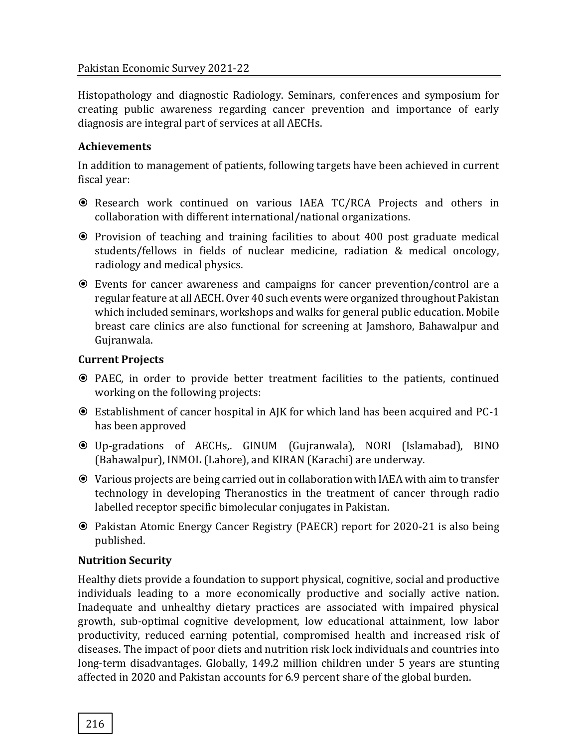#### Pakistan Economic Survey 2021-22

Histopathology and diagnostic Radiology. Seminars, conferences and symposium for creating public awareness regarding cancer prevention and importance of early diagnosis are integral part of services at all AECHs.

## **Achievements**

In addition to management of patients, following targets have been achieved in current fiscal year:

- Research work continued on various IAEA TC/RCA Projects and others in collaboration with different international/national organizations.
- Provision of teaching and training facilities to about 400 post graduate medical students/fellows in fields of nuclear medicine, radiation & medical oncology, radiology and medical physics.
- Events for cancer awareness and campaigns for cancer prevention/control are a regular feature at all AECH. Over 40 such events were organized throughout Pakistan which included seminars, workshops and walks for general public education. Mobile breast care clinics are also functional for screening at Jamshoro, Bahawalpur and Gujranwala.

#### **Current Projects**

- PAEC, in order to provide better treatment facilities to the patients, continued working on the following projects:
- Establishment of cancer hospital in AJK for which land has been acquired and PC-1 has been approved
- Up-gradations of AECHs,. GINUM (Gujranwala), NORI (Islamabad), BINO (Bahawalpur), INMOL (Lahore), and KIRAN (Karachi) are underway.
- Various projects are being carried out in collaboration with IAEA with aim to transfer technology in developing Theranostics in the treatment of cancer through radio labelled receptor specific bimolecular conjugates in Pakistan.
- Pakistan Atomic Energy Cancer Registry (PAECR) report for 2020-21 is also being published.

# **Nutrition Security**

Healthy diets provide a foundation to support physical, cognitive, social and productive individuals leading to a more economically productive and socially active nation. Inadequate and unhealthy dietary practices are associated with impaired physical growth, sub-optimal cognitive development, low educational attainment, low labor productivity, reduced earning potential, compromised health and increased risk of diseases. The impact of poor diets and nutrition risk lock individuals and countries into long-term disadvantages. Globally, 149.2 million children under 5 years are stunting affected in 2020 and Pakistan accounts for 6.9 percent share of the global burden.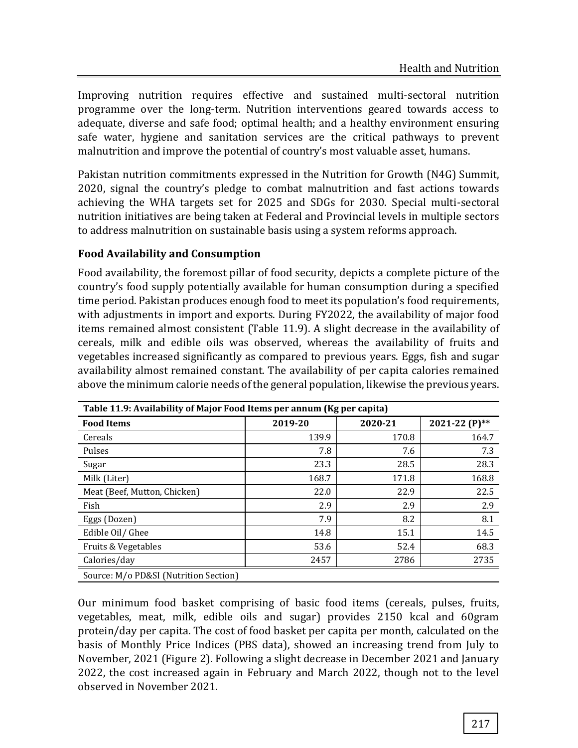Improving nutrition requires effective and sustained multi-sectoral nutrition programme over the long-term. Nutrition interventions geared towards access to adequate, diverse and safe food; optimal health; and a healthy environment ensuring safe water, hygiene and sanitation services are the critical pathways to prevent malnutrition and improve the potential of country's most valuable asset, humans.

Pakistan nutrition commitments expressed in the Nutrition for Growth (N4G) Summit, 2020, signal the country's pledge to combat malnutrition and fast actions towards achieving the WHA targets set for 2025 and SDGs for 2030. Special multi-sectoral nutrition initiatives are being taken at Federal and Provincial levels in multiple sectors to address malnutrition on sustainable basis using a system reforms approach.

# **Food Availability and Consumption**

Food availability, the foremost pillar of food security, depicts a complete picture of the country's food supply potentially available for human consumption during a specified time period. Pakistan produces enough food to meet its population's food requirements, with adjustments in import and exports. During FY2022, the availability of major food items remained almost consistent (Table 11.9). A slight decrease in the availability of cereals, milk and edible oils was observed, whereas the availability of fruits and vegetables increased significantly as compared to previous years. Eggs, fish and sugar availability almost remained constant. The availability of per capita calories remained above the minimum calorie needs of the general population, likewise the previous years.

| Table 11.9: Availability of Major Food Items per annum (Kg per capita) |         |         |               |  |  |  |
|------------------------------------------------------------------------|---------|---------|---------------|--|--|--|
| <b>Food Items</b>                                                      | 2019-20 | 2020-21 | 2021-22 (P)** |  |  |  |
| Cereals                                                                | 139.9   | 170.8   | 164.7         |  |  |  |
| Pulses                                                                 | 7.8     | 7.6     | 7.3           |  |  |  |
| Sugar                                                                  | 23.3    | 28.5    | 28.3          |  |  |  |
| Milk (Liter)                                                           | 168.7   | 171.8   | 168.8         |  |  |  |
| Meat (Beef, Mutton, Chicken)                                           | 22.0    | 22.9    | 22.5          |  |  |  |
| Fish                                                                   | 2.9     | 2.9     | 2.9           |  |  |  |
| Eggs (Dozen)                                                           | 7.9     | 8.2     | 8.1           |  |  |  |
| Edible Oil/ Ghee                                                       | 14.8    | 15.1    | 14.5          |  |  |  |
| Fruits & Vegetables                                                    | 53.6    | 52.4    | 68.3          |  |  |  |
| Calories/day                                                           | 2457    | 2786    | 2735          |  |  |  |
| Source: M/o PD&SI (Nutrition Section)                                  |         |         |               |  |  |  |

Our minimum food basket comprising of basic food items (cereals, pulses, fruits, vegetables, meat, milk, edible oils and sugar) provides 2150 kcal and 60gram protein/day per capita. The cost of food basket per capita per month, calculated on the basis of Monthly Price Indices (PBS data), showed an increasing trend from July to November, 2021 (Figure 2). Following a slight decrease in December 2021 and January 2022, the cost increased again in February and March 2022, though not to the level observed in November 2021.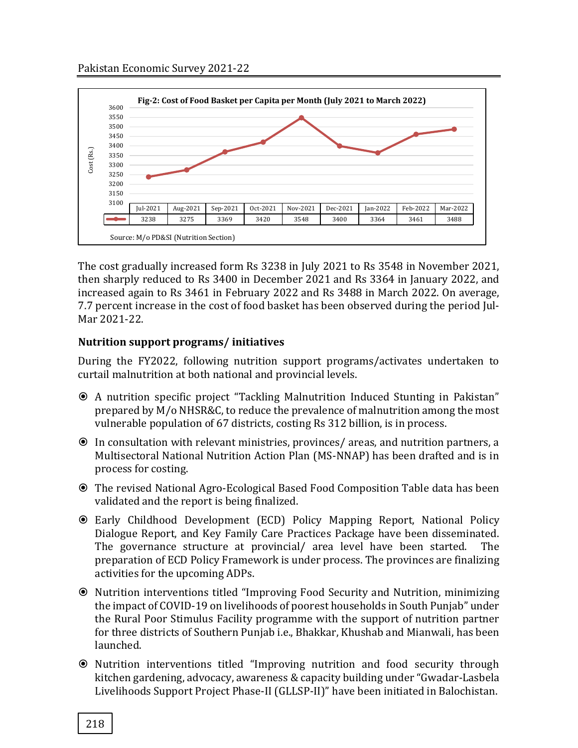

The cost gradually increased form Rs 3238 in July 2021 to Rs 3548 in November 2021, then sharply reduced to Rs 3400 in December 2021 and Rs 3364 in January 2022, and increased again to Rs 3461 in February 2022 and Rs 3488 in March 2022. On average, 7.7 percent increase in the cost of food basket has been observed during the period Jul-Mar 2021-22.

## **Nutrition support programs/ initiatives**

During the FY2022, following nutrition support programs/activates undertaken to curtail malnutrition at both national and provincial levels.

- A nutrition specific project "Tackling Malnutrition Induced Stunting in Pakistan" prepared by M/o NHSR&C, to reduce the prevalence of malnutrition among the most vulnerable population of 67 districts, costing Rs 312 billion, is in process.
- In consultation with relevant ministries, provinces/ areas, and nutrition partners, a Multisectoral National Nutrition Action Plan (MS-NNAP) has been drafted and is in process for costing.
- The revised National Agro-Ecological Based Food Composition Table data has been validated and the report is being finalized.
- Early Childhood Development (ECD) Policy Mapping Report, National Policy Dialogue Report, and Key Family Care Practices Package have been disseminated. The governance structure at provincial/ area level have been started. The preparation of ECD Policy Framework is under process. The provinces are finalizing activities for the upcoming ADPs.
- Nutrition interventions titled "Improving Food Security and Nutrition, minimizing the impact of COVID-19 on livelihoods of poorest households in South Punjab" under the Rural Poor Stimulus Facility programme with the support of nutrition partner for three districts of Southern Punjab i.e., Bhakkar, Khushab and Mianwali, has been launched.
- Nutrition interventions titled "Improving nutrition and food security through kitchen gardening, advocacy, awareness & capacity building under "Gwadar-Lasbela Livelihoods Support Project Phase-II (GLLSP-II)" have been initiated in Balochistan.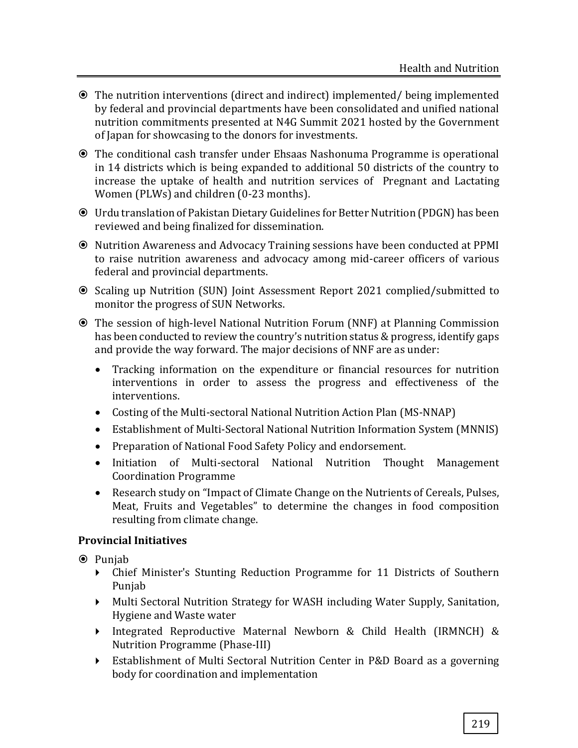- The nutrition interventions (direct and indirect) implemented/ being implemented by federal and provincial departments have been consolidated and unified national nutrition commitments presented at N4G Summit 2021 hosted by the Government of Japan for showcasing to the donors for investments.
- The conditional cash transfer under Ehsaas Nashonuma Programme is operational in 14 districts which is being expanded to additional 50 districts of the country to increase the uptake of health and nutrition services of Pregnant and Lactating Women (PLWs) and children (0-23 months).
- Urdu translation of Pakistan Dietary Guidelines for Better Nutrition (PDGN) has been reviewed and being finalized for dissemination.
- Nutrition Awareness and Advocacy Training sessions have been conducted at PPMI to raise nutrition awareness and advocacy among mid-career officers of various federal and provincial departments.
- Scaling up Nutrition (SUN) Joint Assessment Report 2021 complied/submitted to monitor the progress of SUN Networks.
- The session of high-level National Nutrition Forum (NNF) at Planning Commission has been conducted to review the country's nutrition status & progress, identify gaps and provide the way forward. The major decisions of NNF are as under:
	- Tracking information on the expenditure or financial resources for nutrition interventions in order to assess the progress and effectiveness of the interventions.
	- Costing of the Multi-sectoral National Nutrition Action Plan (MS-NNAP)
	- Establishment of Multi-Sectoral National Nutrition Information System (MNNIS)
	- Preparation of National Food Safety Policy and endorsement.
	- Initiation of Multi-sectoral National Nutrition Thought Management Coordination Programme
	- Research study on "Impact of Climate Change on the Nutrients of Cereals, Pulses, Meat, Fruits and Vegetables" to determine the changes in food composition resulting from climate change.

#### **Provincial Initiatives**

- **■** Punjab
	- Chief Minister's Stunting Reduction Programme for 11 Districts of Southern Punjab
	- Multi Sectoral Nutrition Strategy for WASH including Water Supply, Sanitation, Hygiene and Waste water
	- Integrated Reproductive Maternal Newborn & Child Health (IRMNCH) & Nutrition Programme (Phase-III)
	- Establishment of Multi Sectoral Nutrition Center in P&D Board as a governing body for coordination and implementation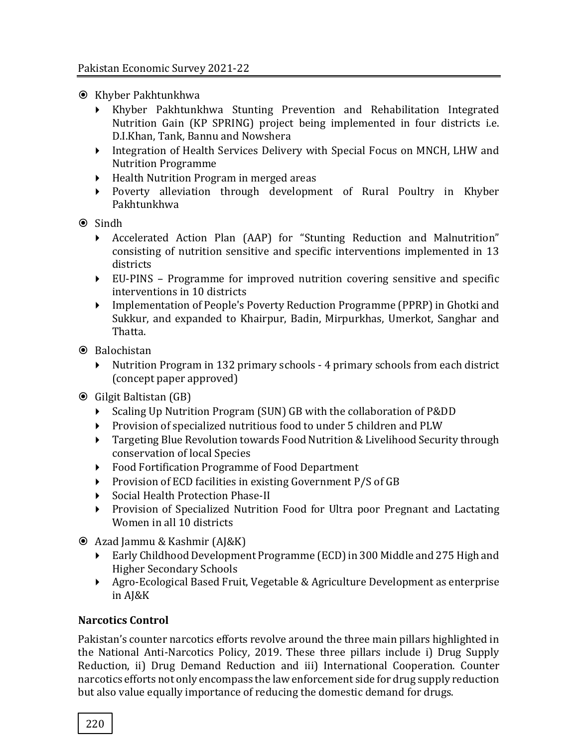- **■** Khyber Pakhtunkhwa
	- Khyber Pakhtunkhwa Stunting Prevention and Rehabilitation Integrated Nutrition Gain (KP SPRING) project being implemented in four districts i.e. D.I.Khan, Tank, Bannu and Nowshera
	- Integration of Health Services Delivery with Special Focus on MNCH, LHW and Nutrition Programme
	- ▶ Health Nutrition Program in merged areas
	- Poverty alleviation through development of Rural Poultry in Khyber Pakhtunkhwa
- **⊙** Sindh
	- Accelerated Action Plan (AAP) for "Stunting Reduction and Malnutrition" consisting of nutrition sensitive and specific interventions implemented in 13 districts
	- EU-PINS Programme for improved nutrition covering sensitive and specific interventions in 10 districts
	- Implementation of People's Poverty Reduction Programme (PPRP) in Ghotki and Sukkur, and expanded to Khairpur, Badin, Mirpurkhas, Umerkot, Sanghar and Thatta.
- **●** Balochistan
	- Nutrition Program in 132 primary schools 4 primary schools from each district (concept paper approved)
- Gilgit Baltistan (GB)
	- Scaling Up Nutrition Program (SUN) GB with the collaboration of P&DD
	- Provision of specialized nutritious food to under 5 children and PLW
	- Targeting Blue Revolution towards Food Nutrition & Livelihood Security through conservation of local Species
	- Food Fortification Programme of Food Department
	- $\triangleright$  Provision of ECD facilities in existing Government P/S of GB
	- Social Health Protection Phase-II
	- Provision of Specialized Nutrition Food for Ultra poor Pregnant and Lactating Women in all 10 districts
- Azad Jammu & Kashmir (AJ&K)
	- Early Childhood Development Programme (ECD) in 300 Middle and 275 High and Higher Secondary Schools
	- Agro-Ecological Based Fruit, Vegetable & Agriculture Development as enterprise in AJ&K

#### **Narcotics Control**

Pakistan's counter narcotics efforts revolve around the three main pillars highlighted in the National Anti-Narcotics Policy, 2019. These three pillars include i) Drug Supply Reduction, ii) Drug Demand Reduction and iii) International Cooperation. Counter narcotics efforts not only encompass the law enforcement side for drug supply reduction but also value equally importance of reducing the domestic demand for drugs.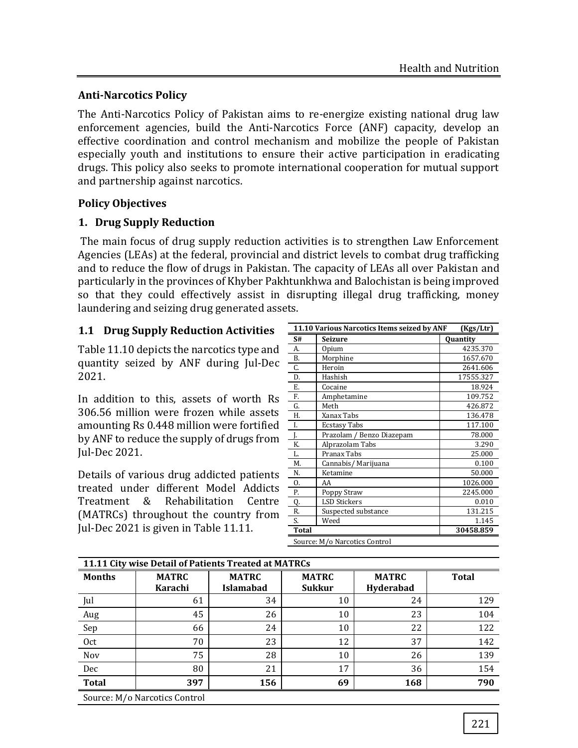## **Anti-Narcotics Policy**

The Anti-Narcotics Policy of Pakistan aims to re-energize existing national drug law enforcement agencies, build the Anti-Narcotics Force (ANF) capacity, develop an effective coordination and control mechanism and mobilize the people of Pakistan especially youth and institutions to ensure their active participation in eradicating drugs. This policy also seeks to promote international cooperation for mutual support and partnership against narcotics.

## **Policy Objectives**

## **1. Drug Supply Reduction**

The main focus of drug supply reduction activities is to strengthen Law Enforcement Agencies (LEAs) at the federal, provincial and district levels to combat drug trafficking and to reduce the flow of drugs in Pakistan. The capacity of LEAs all over Pakistan and particularly in the provinces of Khyber Pakhtunkhwa and Balochistan is being improved so that they could effectively assist in disrupting illegal drug trafficking, money laundering and seizing drug generated assets.

# **1.1 Drug Supply Reduction Activities**

Table 11.10 depicts the narcotics type and quantity seized by ANF during Jul-Dec 2021.

In addition to this, assets of worth Rs 306.56 million were frozen while assets amounting Rs 0.448 million were fortified by ANF to reduce the supply of drugs from Jul-Dec 2021.

Details of various drug addicted patients treated under different Model Addicts Treatment & Rehabilitation Centre (MATRCs) throughout the country from Jul-Dec 2021 is given in Table 11.11.

| 11.10 Various Narcotics Items seized by ANF<br>(Kgs/Ltr) |                               |           |  |  |  |
|----------------------------------------------------------|-------------------------------|-----------|--|--|--|
| S#                                                       | Seizure                       | Quantity  |  |  |  |
| A.                                                       | Opium                         | 4235.370  |  |  |  |
| Β.                                                       | Morphine                      | 1657.670  |  |  |  |
| C.                                                       | Heroin                        | 2641.606  |  |  |  |
| D.                                                       | Hashish                       | 17555.327 |  |  |  |
| Ε.                                                       | Cocaine                       | 18.924    |  |  |  |
| F.                                                       | Amphetamine                   | 109.752   |  |  |  |
| G.                                                       | Meth                          | 426.872   |  |  |  |
| Н.                                                       | Xanax Tabs                    | 136.478   |  |  |  |
| I.                                                       | Ecstasy Tabs                  | 117.100   |  |  |  |
| J.                                                       | Prazolam / Benzo Diazepam     | 78.000    |  |  |  |
| K.                                                       | Alprazolam Tabs               | 3.290     |  |  |  |
| L.                                                       | Pranax Tabs                   | 25.000    |  |  |  |
| M.                                                       | Cannabis/ Marijuana           | 0.100     |  |  |  |
| N.                                                       | Ketamine                      | 50.000    |  |  |  |
| 0.                                                       | AA                            | 1026.000  |  |  |  |
| Р.                                                       | Poppy Straw                   | 2245.000  |  |  |  |
| Q.                                                       | <b>LSD Stickers</b>           | 0.010     |  |  |  |
| R.                                                       | Suspected substance           | 131.215   |  |  |  |
| S.                                                       | Weed                          | 1.145     |  |  |  |
| <b>Total</b>                                             |                               | 30458.859 |  |  |  |
|                                                          | Source: M/o Narcotics Control |           |  |  |  |

| 11.11 City wise Detail of Patients Treated at MATRCs |              |                  |               |              |              |  |
|------------------------------------------------------|--------------|------------------|---------------|--------------|--------------|--|
| <b>Months</b>                                        | <b>MATRC</b> | <b>MATRC</b>     | <b>MATRC</b>  | <b>MATRC</b> | <b>Total</b> |  |
|                                                      | Karachi      | <b>Islamabad</b> | <b>Sukkur</b> | Hyderabad    |              |  |
| Jul                                                  | 61           | 34               | 10            | 24           | 129          |  |
| Aug                                                  | 45           | 26               | 10            | 23           | 104          |  |
| Sep                                                  | 66           | 24               | 10            | 22           | 122          |  |
| 0ct                                                  | 70           | 23               | 12            | 37           | 142          |  |
| Nov                                                  | 75           | 28               | 10            | 26           | 139          |  |
| Dec                                                  | 80           | 21               | 17            | 36           | 154          |  |
| <b>Total</b>                                         | 397          | 156              | 69            | 168          | 790          |  |
| Source: M/o Narcotics Control                        |              |                  |               |              |              |  |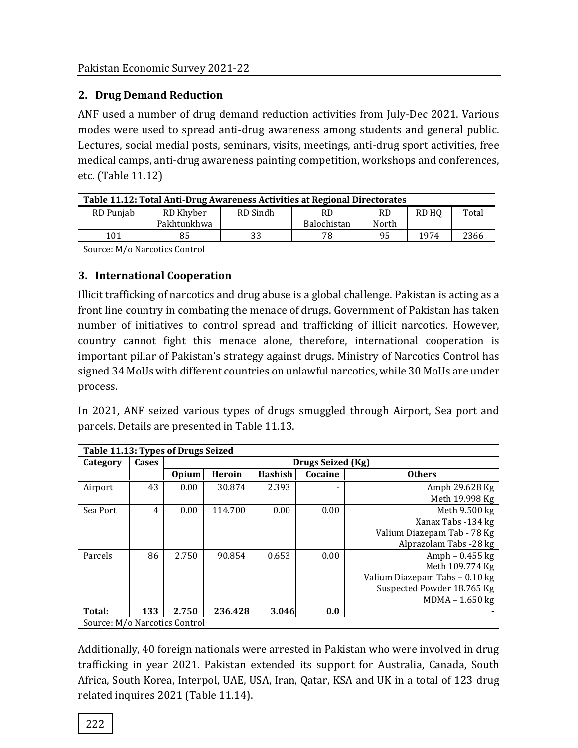# **2. Drug Demand Reduction**

ANF used a number of drug demand reduction activities from July-Dec 2021. Various modes were used to spread anti-drug awareness among students and general public. Lectures, social medial posts, seminars, visits, meetings, anti-drug sport activities, free medical camps, anti-drug awareness painting competition, workshops and conferences, etc. (Table 11.12)

| Table 11.12: Total Anti-Drug Awareness Activities at Regional Directorates |             |          |             |           |       |       |
|----------------------------------------------------------------------------|-------------|----------|-------------|-----------|-------|-------|
| RD Punjab                                                                  | RD Khyber   | RD Sindh | <b>RD</b>   | <b>RD</b> | RD HO | Total |
|                                                                            | Pakhtunkhwa |          | Balochistan | North     |       |       |
| 101                                                                        | 85          | 33       | 78          | 95        | 1974  | 2366  |
| Source: M/o Narcotics Control                                              |             |          |             |           |       |       |

# **3. International Cooperation**

Illicit trafficking of narcotics and drug abuse is a global challenge. Pakistan is acting as a front line country in combating the menace of drugs. Government of Pakistan has taken number of initiatives to control spread and trafficking of illicit narcotics. However, country cannot fight this menace alone, therefore, international cooperation is important pillar of Pakistan's strategy against drugs. Ministry of Narcotics Control has signed 34 MoUs with different countries on unlawful narcotics, while 30 MoUs are under process.

In 2021, ANF seized various types of drugs smuggled through Airport, Sea port and parcels. Details are presented in Table 11.13.

| Table 11.13: Types of Drugs Seized |       |                   |         |                |         |                                |
|------------------------------------|-------|-------------------|---------|----------------|---------|--------------------------------|
| Category                           | Cases | Drugs Seized (Kg) |         |                |         |                                |
|                                    |       | <b>Opium</b>      | Heroin  | <b>Hashish</b> | Cocaine | <b>Others</b>                  |
| Airport                            | 43    | 0.00              | 30.874  | 2.393          |         | Amph 29.628 Kg                 |
|                                    |       |                   |         |                |         | Meth 19.998 Kg                 |
| Sea Port                           | 4     | 0.00              | 114.700 | 0.00           | 0.00    | Meth 9.500 kg                  |
|                                    |       |                   |         |                |         | Xanax Tabs -134 kg             |
|                                    |       |                   |         |                |         | Valium Diazepam Tab - 78 Kg    |
|                                    |       |                   |         |                |         | Alprazolam Tabs -28 kg         |
| Parcels                            | 86    | 2.750             | 90.854  | 0.653          | 0.00    | Amph $-0.455$ kg               |
|                                    |       |                   |         |                |         | Meth 109.774 Kg                |
|                                    |       |                   |         |                |         | Valium Diazepam Tabs - 0.10 kg |
|                                    |       |                   |         |                |         | Suspected Powder 18.765 Kg     |
|                                    |       |                   |         |                |         | MDMA - 1.650 kg                |
| Total:                             | 133   | 2.750             | 236.428 | 3.046          | 0.0     |                                |
| Source: M/o Narcotics Control      |       |                   |         |                |         |                                |

Additionally, 40 foreign nationals were arrested in Pakistan who were involved in drug trafficking in year 2021. Pakistan extended its support for Australia, Canada, South Africa, South Korea, Interpol, UAE, USA, Iran, Qatar, KSA and UK in a total of 123 drug related inquires 2021 (Table 11.14).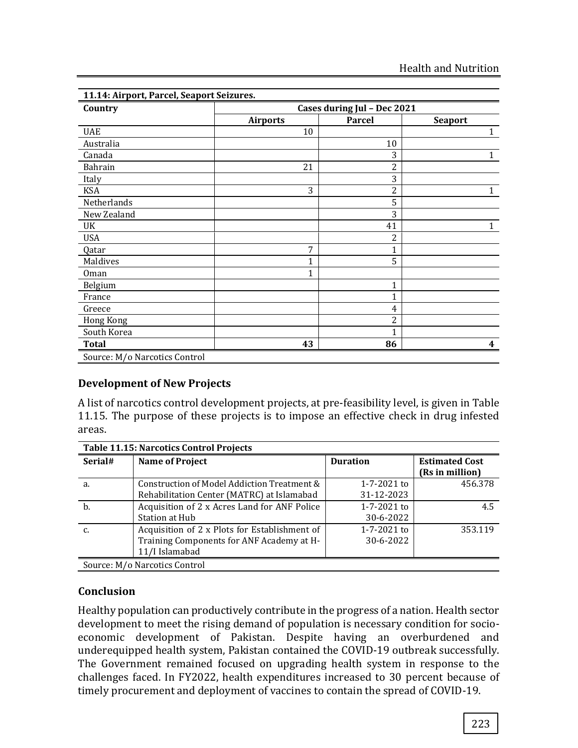| Country        | Cases during Jul - Dec 2021 |                |                  |  |  |  |  |
|----------------|-----------------------------|----------------|------------------|--|--|--|--|
|                | <b>Airports</b>             | <b>Parcel</b>  | <b>Seaport</b>   |  |  |  |  |
| <b>UAE</b>     | 10                          |                | $\mathbf{1}$     |  |  |  |  |
| Australia      |                             | 10             |                  |  |  |  |  |
| Canada         |                             | 3              | $\mathbf{1}$     |  |  |  |  |
| <b>Bahrain</b> | 21                          | 2              |                  |  |  |  |  |
| Italy          |                             | 3              |                  |  |  |  |  |
| <b>KSA</b>     | 3                           | 2              | $\mathbf{1}$     |  |  |  |  |
| Netherlands    |                             | 5              |                  |  |  |  |  |
| New Zealand    |                             | 3              |                  |  |  |  |  |
| UK             |                             | 41             | $\mathbf{1}$     |  |  |  |  |
| <b>USA</b>     |                             | 2              |                  |  |  |  |  |
| Qatar          | 7                           | $\mathbf{1}$   |                  |  |  |  |  |
| Maldives       | 1                           | 5              |                  |  |  |  |  |
| Oman           | 1                           |                |                  |  |  |  |  |
| Belgium        |                             | 1              |                  |  |  |  |  |
| France         |                             | 1              |                  |  |  |  |  |
| Greece         |                             | $\overline{4}$ |                  |  |  |  |  |
| Hong Kong      |                             | 2              |                  |  |  |  |  |
| South Korea    |                             | 1              |                  |  |  |  |  |
| <b>Total</b>   | 43                          | 86             | $\boldsymbol{4}$ |  |  |  |  |

#### **Development of New Projects**

A list of narcotics control development projects, at pre-feasibility level, is given in Table 11.15. The purpose of these projects is to impose an effective check in drug infested areas.

| <b>Table 11.15: Narcotics Control Projects</b> |                                               |                   |                                          |  |  |  |
|------------------------------------------------|-----------------------------------------------|-------------------|------------------------------------------|--|--|--|
| Serial#                                        | <b>Name of Project</b>                        | <b>Duration</b>   | <b>Estimated Cost</b><br>(Rs in million) |  |  |  |
| a.                                             | Construction of Model Addiction Treatment &   | $1 - 7 - 2021$ to | 456.378                                  |  |  |  |
|                                                | Rehabilitation Center (MATRC) at Islamabad    | 31-12-2023        |                                          |  |  |  |
| b.                                             | Acquisition of 2 x Acres Land for ANF Police  | $1 - 7 - 2021$ to | 4.5                                      |  |  |  |
|                                                | Station at Hub                                | 30-6-2022         |                                          |  |  |  |
|                                                | Acquisition of 2 x Plots for Establishment of | 1-7-2021 to       | 353.119                                  |  |  |  |
|                                                | Training Components for ANF Academy at H-     | 30-6-2022         |                                          |  |  |  |
|                                                | 11/I Islamabad                                |                   |                                          |  |  |  |
|                                                | Source: M/o Narcotics Control                 |                   |                                          |  |  |  |

#### **Conclusion**

Healthy population can productively contribute in the progress of a nation. Health sector development to meet the rising demand of population is necessary condition for socioeconomic development of Pakistan. Despite having an overburdened and underequipped health system, Pakistan contained the COVID-19 outbreak successfully. The Government remained focused on upgrading health system in response to the challenges faced. In FY2022, health expenditures increased to 30 percent because of timely procurement and deployment of vaccines to contain the spread of COVID-19.